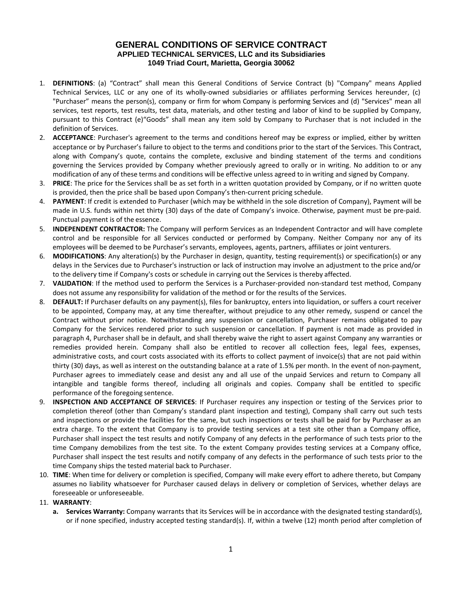## **GENERAL CONDITIONS OF SERVICE CONTRACT APPLIED TECHNICAL SERVICES, LLC and its Subsidiaries 1049 Triad Court, Marietta, Georgia 30062**

- 1. **DEFINITIONS**: (a) "Contract" shall mean this General Conditions of Service Contract (b) "Company" means Applied Technical Services, LLC or any one of its wholly-owned subsidiaries or affiliates performing Services hereunder, (c) "Purchaser" means the person(s), company or firm for whom Company is performing Services and (d) "Services" mean all services, test reports, test results, test data, materials, and other testing and labor of kind to be supplied by Company, pursuant to this Contract (e)"Goods" shall mean any item sold by Company to Purchaser that is not included in the definition of Services.
- 2. **ACCEPTANCE**: Purchaser's agreement to the terms and conditions hereof may be express or implied, either by written acceptance or by Purchaser's failure to object to the terms and conditions prior to the start of the Services. This Contract, along with Company's quote, contains the complete, exclusive and binding statement of the terms and conditions governing the Services provided by Company whether previously agreed to orally or in writing. No addition to or any modification of any of these terms and conditions will be effective unless agreed to in writing and signed by Company.
- 3. **PRICE**: The price for the Services shall be as set forth in a written quotation provided by Company, or if no written quote is provided, then the price shall be based upon Company's then-current pricing schedule.
- 4. **PAYMENT**: If credit is extended to Purchaser (which may be withheld in the sole discretion of Company), Payment will be made in U.S. funds within net thirty (30) days of the date of Company's invoice. Otherwise, payment must be pre-paid. Punctual payment is of the essence.
- 5. **INDEPENDENT CONTRACTOR:** The Company will perform Services as an Independent Contractor and will have complete control and be responsible for all Services conducted or performed by Company. Neither Company nor any of its employees will be deemed to be Purchaser's servants, employees, agents, partners, affiliates or joint venturers.
- 6. **MODIFICATIONS**: Any alteration(s) by the Purchaser in design, quantity, testing requirement(s) or specification(s) or any delays in the Services due to Purchaser's instruction or lack of instruction may involve an adjustment to the price and/or to the delivery time if Company's costs or schedule in carrying out the Services is thereby affected.
- 7. **VALIDATION**: If the method used to perform the Services is a Purchaser-provided non-standard test method, Company does not assume any responsibility for validation of the method or for the results of the Services.
- 8. **DEFAULT:** If Purchaser defaults on any payment(s), files for bankruptcy, enters into liquidation, or suffers a court receiver to be appointed, Company may, at any time thereafter, without prejudice to any other remedy, suspend or cancel the Contract without prior notice. Notwithstanding any suspension or cancellation, Purchaser remains obligated to pay Company for the Services rendered prior to such suspension or cancellation. If payment is not made as provided in paragraph 4, Purchaser shall be in default, and shall thereby waive the right to assert against Company any warranties or remedies provided herein. Company shall also be entitled to recover all collection fees, legal fees, expenses, administrative costs, and court costs associated with its efforts to collect payment of invoice(s) that are not paid within thirty (30) days, as well as interest on the outstanding balance at a rate of 1.5% per month. In the event of non-payment, Purchaser agrees to immediately cease and desist any and all use of the unpaid Services and return to Company all intangible and tangible forms thereof, including all originals and copies. Company shall be entitled to specific performance of the foregoing sentence.
- 9. **INSPECTION AND ACCEPTANCE OF SERVICES**: If Purchaser requires any inspection or testing of the Services prior to completion thereof (other than Company's standard plant inspection and testing), Company shall carry out such tests and inspections or provide the facilities for the same, but such inspections or tests shall be paid for by Purchaser as an extra charge. To the extent that Company is to provide testing services at a test site other than a Company office, Purchaser shall inspect the test results and notify Company of any defects in the performance of such tests prior to the time Company demobilizes from the test site. To the extent Company provides testing services at a Company office, Purchaser shall inspect the test results and notify company of any defects in the performance of such tests prior to the time Company ships the tested material back to Purchaser.
- 10. **TIME**: When time for delivery or completion is specified, Company will make every effort to adhere thereto, but Company assumes no liability whatsoever for Purchaser caused delays in delivery or completion of Services, whether delays are foreseeable or unforeseeable.
- 11. **WARRANTY**:
	- **a. Services Warranty:** Company warrants that its Services will be in accordance with the designated testing standard(s), or if none specified, industry accepted testing standard(s). If, within a twelve (12) month period after completion of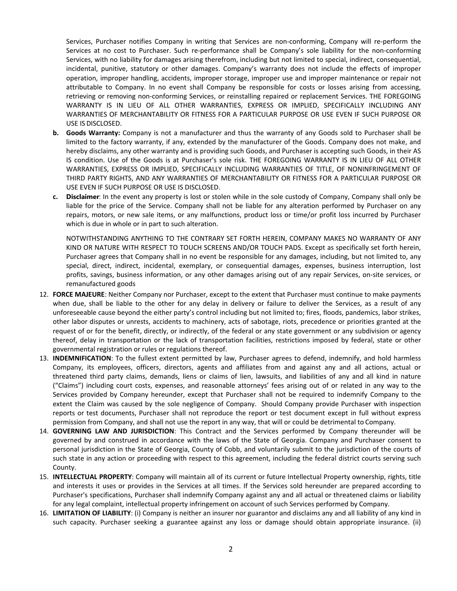Services, Purchaser notifies Company in writing that Services are non-conforming, Company will re-perform the Services at no cost to Purchaser. Such re-performance shall be Company's sole liability for the non-conforming Services, with no liability for damages arising therefrom, including but not limited to special, indirect, consequential, incidental, punitive, statutory or other damages. Company's warranty does not include the effects of improper operation, improper handling, accidents, improper storage, improper use and improper maintenance or repair not attributable to Company. In no event shall Company be responsible for costs or losses arising from accessing, retrieving or removing non-conforming Services, or reinstalling repaired or replacement Services. THE FOREGOING WARRANTY IS IN LIEU OF ALL OTHER WARRANTIES, EXPRESS OR IMPLIED, SPECIFICALLY INCLUDING ANY WARRANTIES OF MERCHANTABILITY OR FITNESS FOR A PARTICULAR PURPOSE OR USE EVEN IF SUCH PURPOSE OR USE IS DISCLOSED.

- **b. Goods Warranty:** Company is not a manufacturer and thus the warranty of any Goods sold to Purchaser shall be limited to the factory warranty, if any, extended by the manufacturer of the Goods. Company does not make, and hereby disclaims, any other warranty and is providing such Goods, and Purchaser is accepting such Goods, in their AS IS condition. Use of the Goods is at Purchaser's sole risk. THE FOREGOING WARRANTY IS IN LIEU OF ALL OTHER WARRANTIES, EXPRESS OR IMPLIED, SPECIFICALLY INCLUDING WARRANTIES OF TITLE, OF NONINFRINGEMENT OF THIRD PARTY RIGHTS, AND ANY WARRANTIES OF MERCHANTABILITY OR FITNESS FOR A PARTICULAR PURPOSE OR USE EVEN IF SUCH PURPOSE OR USE IS DISCLOSED.
- **c. Disclaimer**: In the event any property is lost or stolen while in the sole custody of Company, Company shall only be liable for the price of the Service. Company shall not be liable for any alteration performed by Purchaser on any repairs, motors, or new sale items, or any malfunctions, product loss or time/or profit loss incurred by Purchaser which is due in whole or in part to such alteration.

NOTWITHSTANDING ANYTHING TO THE CONTRARY SET FORTH HEREIN, COMPANY MAKES NO WARRANTY OF ANY KIND OR NATURE WITH RESPECT TO TOUCH SCREENS AND/OR TOUCH PADS. Except as specifically set forth herein, Purchaser agrees that Company shall in no event be responsible for any damages, including, but not limited to, any special, direct, indirect, incidental, exemplary, or consequential damages, expenses, business interruption, lost profits, savings, business information, or any other damages arising out of any repair Services, on-site services, or remanufactured goods

- 12. **FORCE MAJEURE**: Neither Company nor Purchaser, except to the extent that Purchaser must continue to make payments when due, shall be liable to the other for any delay in delivery or failure to deliver the Services, as a result of any unforeseeable cause beyond the either party's control including but not limited to; fires, floods, pandemics, labor strikes, other labor disputes or unrests, accidents to machinery, acts of sabotage, riots, precedence or priorities granted at the request of or for the benefit, directly, or indirectly, of the federal or any state government or any subdivision or agency thereof, delay in transportation or the lack of transportation facilities, restrictions imposed by federal, state or other governmental registration or rules or regulations thereof.
- 13. **INDEMNIFICATION**: To the fullest extent permitted by law, Purchaser agrees to defend, indemnify, and hold harmless Company, its employees, officers, directors, agents and affiliates from and against any and all actions, actual or threatened third party claims, demands, liens or claims of lien, lawsuits, and liabilities of any and all kind in nature ("Claims") including court costs, expenses, and reasonable attorneys' fees arising out of or related in any way to the Services provided by Company hereunder, except that Purchaser shall not be required to indemnify Company to the extent the Claim was caused by the sole negligence of Company. Should Company provide Purchaser with inspection reports or test documents, Purchaser shall not reproduce the report or test document except in full without express permission from Company, and shall not use the report in any way, that will or could be detrimental to Company.
- 14. **GOVERNING LAW AND JURISDICTION**: This Contract and the Services performed by Company thereunder will be governed by and construed in accordance with the laws of the State of Georgia. Company and Purchaser consent to personal jurisdiction in the State of Georgia, County of Cobb, and voluntarily submit to the jurisdiction of the courts of such state in any action or proceeding with respect to this agreement, including the federal district courts serving such County.
- 15. **INTELLECTUAL PROPERTY**: Company will maintain all of its current or future Intellectual Property ownership, rights, title and interests it uses or provides in the Services at all times. If the Services sold hereunder are prepared according to Purchaser's specifications, Purchaser shall indemnify Company against any and all actual or threatened claims or liability for any legal complaint, intellectual property infringement on account of such Services performed by Company.
- 16. **LIMITATION OF LIABILITY**: (i) Company is neither an insurer nor guarantor and disclaims any and all liability of any kind in such capacity. Purchaser seeking a guarantee against any loss or damage should obtain appropriate insurance. (ii)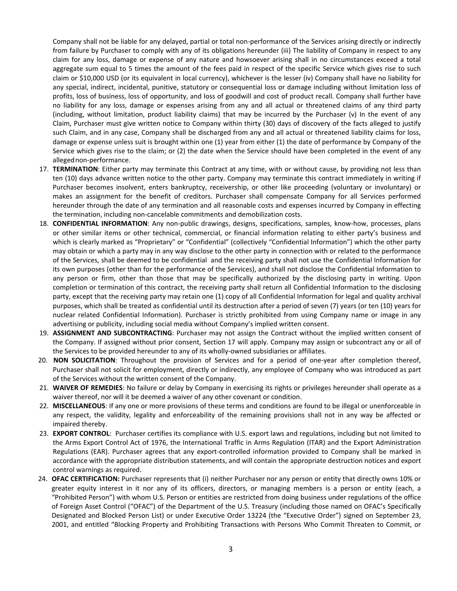Company shall not be liable for any delayed, partial or total non-performance of the Services arising directly or indirectly from failure by Purchaser to comply with any of its obligations hereunder (iii) The liability of Company in respect to any claim for any loss, damage or expense of any nature and howsoever arising shall in no circumstances exceed a total aggregate sum equal to 5 times the amount of the fees paid in respect of the specific Service which gives rise to such claim or \$10,000 USD (or its equivalent in local currency), whichever is the lesser (iv) Company shall have no liability for any special, indirect, incidental, punitive, statutory or consequential loss or damage including without limitation loss of profits, loss of business, loss of opportunity, and loss of goodwill and cost of product recall. Company shall further have no liability for any loss, damage or expenses arising from any and all actual or threatened claims of any third party (including, without limitation, product liability claims) that may be incurred by the Purchaser (v) In the event of any Claim, Purchaser must give written notice to Company within thirty (30) days of discovery of the facts alleged to justify such Claim, and in any case, Company shall be discharged from any and all actual or threatened liability claims for loss, damage or expense unless suit is brought within one (1) year from either (1) the date of performance by Company of the Service which gives rise to the claim; or (2) the date when the Service should have been completed in the event of any alleged non-performance.

- 17. **TERMINATION**: Either party may terminate this Contract at any time, with or without cause, by providing not less than ten (10) days advance written notice to the other party. Company may terminate this contract immediately in writing if Purchaser becomes insolvent, enters bankruptcy, receivership, or other like proceeding (voluntary or involuntary) or makes an assignment for the benefit of creditors. Purchaser shall compensate Company for all Services performed hereunder through the date of any termination and all reasonable costs and expenses incurred by Company in effecting the termination, including non-cancelable commitments and demobilization costs.
- 18. **CONFIDENTIAL INFORMATION**: Any non-public drawings, designs, specifications, samples, know-how, processes, plans or other similar items or other technical, commercial, or financial information relating to either party's business and which is clearly marked as "Proprietary" or "Confidential" (collectively "Confidential Information") which the other party may obtain or which a party may in any way disclose to the other party in connection with or related to the performance of the Services, shall be deemed to be confidential and the receiving party shall not use the Confidential Information for its own purposes (other than for the performance of the Services), and shall not disclose the Confidential Information to any person or firm, other than those that may be specifically authorized by the disclosing party in writing. Upon completion or termination of this contract, the receiving party shall return all Confidential Information to the disclosing party, except that the receiving party may retain one (1) copy of all Confidential Information for legal and quality archival purposes, which shall be treated as confidential until its destruction after a period of seven (7) years (or ten (10) years for nuclear related Confidential Information). Purchaser is strictly prohibited from using Company name or image in any advertising or publicity, including social media without Company's implied written consent.
- 19. **ASSIGNMENT AND SUBCONTRACTING**: Purchaser may not assign the Contract without the implied written consent of the Company. If assigned without prior consent, Section 17 will apply. Company may assign or subcontract any or all of the Services to be provided hereunder to any of its wholly-owned subsidiaries or affiliates.
- 20. **NON SOLICITATION**: Throughout the provision of Services and for a period of one-year after completion thereof, Purchaser shall not solicit for employment, directly or indirectly, any employee of Company who was introduced as part of the Services without the written consent of the Company.
- 21. **WAIVER OF REMEDIES**: No failure or delay by Company in exercising its rights or privileges hereunder shall operate as a waiver thereof, nor will it be deemed a waiver of any other covenant or condition.
- 22. **MISCELLANEOUS**: If any one or more provisions of these terms and conditions are found to be illegal or unenforceable in any respect, the validity, legality and enforceability of the remaining provisions shall not in any way be affected or impaired thereby.
- 23. **EXPORT CONTROL**: Purchaser certifies its compliance with U.S. export laws and regulations, including but not limited to the Arms Export Control Act of 1976, the International Traffic in Arms Regulation (ITAR) and the Export Administration Regulations (EAR). Purchaser agrees that any export-controlled information provided to Company shall be marked in accordance with the appropriate distribution statements, and will contain the appropriate destruction notices and export control warnings as required.
- 24. **OFAC CERTIFICATION:** Purchaser represents that (i) neither Purchaser nor any person or entity that directly owns 10% or greater equity interest in it nor any of its officers, directors, or managing members is a person or entity (each, a "Prohibited Person") with whom U.S. Person or entities are restricted from doing business under regulations of the office of Foreign Asset Control ("OFAC") of the Department of the U.S. Treasury (including those named on OFAC's Specifically Designated and Blocked Person List) or under Executive Order 13224 (the "Executive Order") signed on September 23, 2001, and entitled "Blocking Property and Prohibiting Transactions with Persons Who Commit Threaten to Commit, or